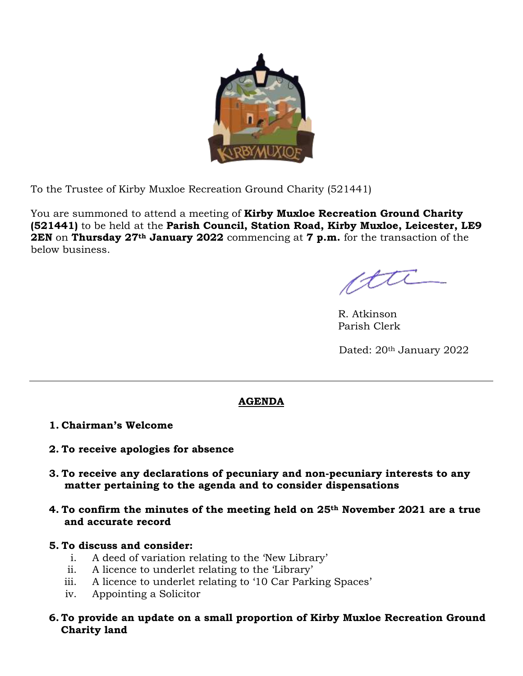

To the Trustee of Kirby Muxloe Recreation Ground Charity (521441)

You are summoned to attend a meeting of **Kirby Muxloe Recreation Ground Charity (521441)** to be held at the **Parish Council, Station Road, Kirby Muxloe, Leicester, LE9 2EN** on **Thursday 27th January 2022** commencing at **7 p.m.** for the transaction of the below business.

tti

R. Atkinson Parish Clerk

Dated: 20<sup>th</sup> January 2022

## **AGENDA**

## **1. Chairman's Welcome**

- **2. To receive apologies for absence**
- **3. To receive any declarations of pecuniary and non-pecuniary interests to any matter pertaining to the agenda and to consider dispensations**
- **4. To confirm the minutes of the meeting held on 25th November 2021 are a true and accurate record**
- **5. To discuss and consider:**
	- i. A deed of variation relating to the 'New Library'
	- ii. A licence to underlet relating to the 'Library'
	- iii. A licence to underlet relating to '10 Car Parking Spaces'
	- iv. Appointing a Solicitor
- **6. To provide an update on a small proportion of Kirby Muxloe Recreation Ground Charity land**